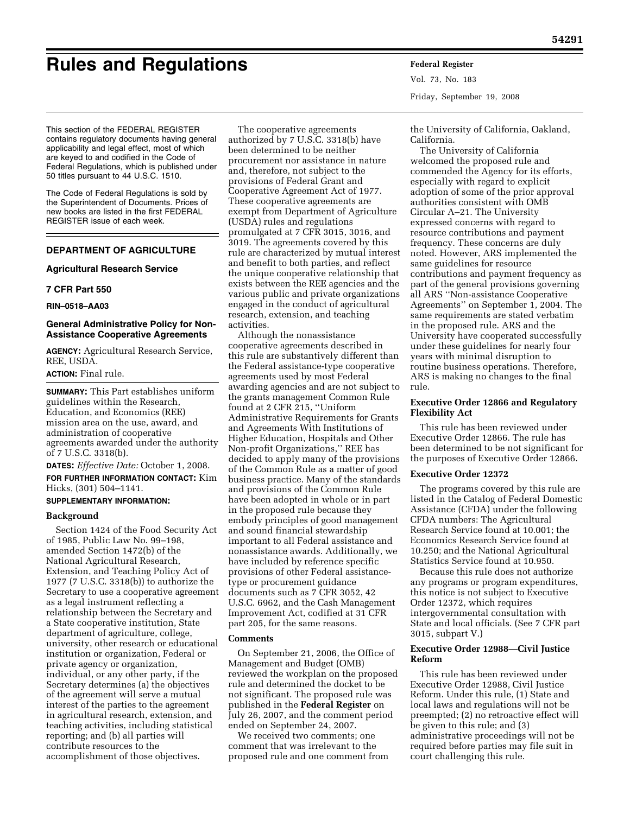# **Rules and Regulations Federal Register**

Vol. 73, No. 183 Friday, September 19, 2008

This section of the FEDERAL REGISTER contains regulatory documents having general applicability and legal effect, most of which are keyed to and codified in the Code of Federal Regulations, which is published under 50 titles pursuant to 44 U.S.C. 1510.

The Code of Federal Regulations is sold by the Superintendent of Documents. Prices of new books are listed in the first FEDERAL REGISTER issue of each week.

# **DEPARTMENT OF AGRICULTURE**

# **Agricultural Research Service**

# **7 CFR Part 550**

**RIN–0518–AA03** 

# **General Administrative Policy for Non-Assistance Cooperative Agreements**

**AGENCY:** Agricultural Research Service, REE, USDA.

# **ACTION:** Final rule.

**SUMMARY:** This Part establishes uniform guidelines within the Research, Education, and Economics (REE) mission area on the use, award, and administration of cooperative agreements awarded under the authority of 7 U.S.C. 3318(b).

**DATES:** *Effective Date:* October 1, 2008. **FOR FURTHER INFORMATION CONTACT:** Kim Hicks, (301) 504–1141.

## **SUPPLEMENTARY INFORMATION:**

## **Background**

Section 1424 of the Food Security Act of 1985, Public Law No. 99–198, amended Section 1472(b) of the National Agricultural Research, Extension, and Teaching Policy Act of 1977 (7 U.S.C. 3318(b)) to authorize the Secretary to use a cooperative agreement as a legal instrument reflecting a relationship between the Secretary and a State cooperative institution, State department of agriculture, college, university, other research or educational institution or organization, Federal or private agency or organization, individual, or any other party, if the Secretary determines (a) the objectives of the agreement will serve a mutual interest of the parties to the agreement in agricultural research, extension, and teaching activities, including statistical reporting; and (b) all parties will contribute resources to the accomplishment of those objectives.

The cooperative agreements authorized by 7 U.S.C. 3318(b) have been determined to be neither procurement nor assistance in nature and, therefore, not subject to the provisions of Federal Grant and Cooperative Agreement Act of 1977. These cooperative agreements are exempt from Department of Agriculture (USDA) rules and regulations promulgated at 7 CFR 3015, 3016, and 3019. The agreements covered by this rule are characterized by mutual interest and benefit to both parties, and reflect the unique cooperative relationship that exists between the REE agencies and the various public and private organizations engaged in the conduct of agricultural research, extension, and teaching activities.

Although the nonassistance cooperative agreements described in this rule are substantively different than the Federal assistance-type cooperative agreements used by most Federal awarding agencies and are not subject to the grants management Common Rule found at 2 CFR 215, ''Uniform Administrative Requirements for Grants and Agreements With Institutions of Higher Education, Hospitals and Other Non-profit Organizations,'' REE has decided to apply many of the provisions of the Common Rule as a matter of good business practice. Many of the standards and provisions of the Common Rule have been adopted in whole or in part in the proposed rule because they embody principles of good management and sound financial stewardship important to all Federal assistance and nonassistance awards. Additionally, we have included by reference specific provisions of other Federal assistancetype or procurement guidance documents such as 7 CFR 3052, 42 U.S.C. 6962, and the Cash Management Improvement Act, codified at 31 CFR part 205, for the same reasons.

## **Comments**

On September 21, 2006, the Office of Management and Budget (OMB) reviewed the workplan on the proposed rule and determined the docket to be not significant. The proposed rule was published in the **Federal Register** on July 26, 2007, and the comment period ended on September 24, 2007.

We received two comments; one comment that was irrelevant to the proposed rule and one comment from

the University of California, Oakland, California.

The University of California welcomed the proposed rule and commended the Agency for its efforts, especially with regard to explicit adoption of some of the prior approval authorities consistent with OMB Circular A–21. The University expressed concerns with regard to resource contributions and payment frequency. These concerns are duly noted. However, ARS implemented the same guidelines for resource contributions and payment frequency as part of the general provisions governing all ARS ''Non-assistance Cooperative Agreements'' on September 1, 2004. The same requirements are stated verbatim in the proposed rule. ARS and the University have cooperated successfully under these guidelines for nearly four years with minimal disruption to routine business operations. Therefore, ARS is making no changes to the final rule.

## **Executive Order 12866 and Regulatory Flexibility Act**

This rule has been reviewed under Executive Order 12866. The rule has been determined to be not significant for the purposes of Executive Order 12866.

## **Executive Order 12372**

The programs covered by this rule are listed in the Catalog of Federal Domestic Assistance (CFDA) under the following CFDA numbers: The Agricultural Research Service found at 10.001; the Economics Research Service found at 10.250; and the National Agricultural Statistics Service found at 10.950.

Because this rule does not authorize any programs or program expenditures, this notice is not subject to Executive Order 12372, which requires intergovernmental consultation with State and local officials. (See 7 CFR part 3015, subpart V.)

# **Executive Order 12988—Civil Justice Reform**

This rule has been reviewed under Executive Order 12988, Civil Justice Reform. Under this rule, (1) State and local laws and regulations will not be preempted; (2) no retroactive effect will be given to this rule; and (3) administrative proceedings will not be required before parties may file suit in court challenging this rule.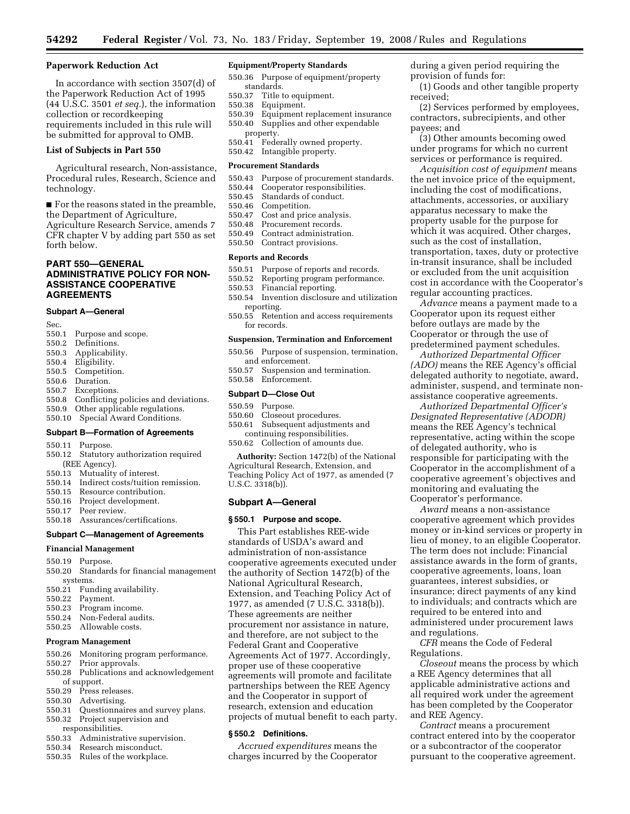## **Paperwork Reduction Act**

In accordance with section 3507(d) of the Paperwork Reduction Act of 1995 (44 U.S.C. 3501 *et seq.*), the information collection or recordkeeping requirements included in this rule will be submitted for approval to OMB.

#### **List of Subjects in Part 550**

Agricultural research, Non-assistance, Procedural rules, Research, Science and technology.

■ For the reasons stated in the preamble, the Department of Agriculture,

Agriculture Research Service, amends 7 CFR chapter V by adding part 550 as set forth below.

# **PART 550—GENERAL ADMINISTRATIVE POLICY FOR NON-ASSISTANCE COOPERATIVE AGREEMENTS**

### **Subpart A—General**

- Sec.<br>550.1 Purpose and scope.
- 550.2 Definitions.
- 550.3 Applicability.
- 550.4 Eligibility.
- Competition.
- 550.6 Duration.
- 550.7 Exceptions.
- 550.8 Conflicting policies and deviations.
- 550.9 Other applicable regulations.
- 550.10 Special Award Conditions.

# **Subpart B—Formation of Agreements**

- 550.11 Purpose.
- 550.12 Statutory authorization required (REE Agency).
- 550.13 Mutuality of interest.
- 550.14 Indirect costs/tuition remission.
- 550.15 Resource contribution.
- 550.16 Project development.
- 550.17 Peer review.
- 550.18 Assurances/certifications.

## **Subpart C—Management of Agreements**

#### **Financial Management**

- 550.19 Purpose.
- 550.20 Standards for financial management systems.
- 550.21 Funding availability.
- 550.22 Payment.
- Program income.
- 550.24 Non-Federal audits.
- 550.25 Allowable costs.

#### **Program Management**

- 550.26 Monitoring program performance.
- 550.27 Prior approvals.
- 550.28 Publications and acknowledgement
- of support.
- 550.29 Press releases.
- 550.30 Advertising.
- 550.31 Questionnaires and survey plans. 550.32 Project supervision and
- responsibilities.
- 
- 550.33 Administrative supervision.
- 550.34 Research misconduct.
- 550.35 Rules of the workplace.

#### **Equipment/Property Standards**

- 550.36 Purpose of equipment/property standards.<br>550.37 Title t
- Title to equipment.
- 550.38 Equipment.
- 550.39 Equipment replacement insurance
- 550.40 Supplies and other expendable property.
- 550.41 Federally owned property.
- 550.42 Intangible property.

# **Procurement Standards**

- 550.43 Purpose of procurement standards.<br>550.44 Cooperator responsibilities.
- 550.44 Cooperator responsibilities.
- 550.45 Standards of conduct.
- 550.46 Competition.
- 550.47 Cost and price analysis.
- Procurement records.
- 550.49 Contract administration.
- 550.50 Contract provisions.

#### **Reports and Records**

- 550.51 Purpose of reports and records.<br>550.52 Reporting program performance
- 550.52 Reporting program performance.<br>550.53 Financial reporting
- 550.53 Financial reporting.<br>550.54 Invention disclosure
- Invention disclosure and utilization reporting.
- 550.55 Retention and access requirements for records.

#### **Suspension, Termination and Enforcement**

- 550.56 Purpose of suspension, termination, and enforcement.
- 550.57 Suspension and termination.
- 550.58 Enforcement.

#### **Subpart D—Close Out**

- 550.59 Purpose.
- 550.60 Closeout procedures.
- 550.61 Subsequent adjustments and continuing responsibilities.
- 550.62 Collection of amounts due.

**Authority:** Section 1472(b) of the National Agricultural Research, Extension, and Teaching Policy Act of 1977, as amended (7 U.S.C. 3318(b)).

#### **Subpart A—General**

#### **§ 550.1 Purpose and scope.**

This Part establishes REE-wide standards of USDA's award and administration of non-assistance cooperative agreements executed under the authority of Section 1472(b) of the National Agricultural Research, Extension, and Teaching Policy Act of 1977, as amended (7 U.S.C. 3318(b)). These agreements are neither procurement nor assistance in nature, and therefore, are not subject to the Federal Grant and Cooperative Agreements Act of 1977. Accordingly, proper use of these cooperative agreements will promote and facilitate partnerships between the REE Agency and the Cooperator in support of research, extension and education projects of mutual benefit to each party.

# **§ 550.2 Definitions.**

*Accrued expenditures* means the charges incurred by the Cooperator during a given period requiring the provision of funds for:

(1) Goods and other tangible property received;

(2) Services performed by employees, contractors, subrecipients, and other payees; and

(3) Other amounts becoming owed under programs for which no current services or performance is required.

*Acquisition cost of equipment* means the net invoice price of the equipment, including the cost of modifications, attachments, accessories, or auxiliary apparatus necessary to make the property usable for the purpose for which it was acquired. Other charges, such as the cost of installation, transportation, taxes, duty or protective in-transit insurance, shall be included or excluded from the unit acquisition cost in accordance with the Cooperator's regular accounting practices.

*Advance* means a payment made to a Cooperator upon its request either before outlays are made by the Cooperator or through the use of predetermined payment schedules.

*Authorized Departmental Officer (ADO)* means the REE Agency's official delegated authority to negotiate, award, administer, suspend, and terminate nonassistance cooperative agreements.

*Authorized Departmental Officer's Designated Representative (ADODR)*  means the REE Agency's technical representative, acting within the scope of delegated authority, who is responsible for participating with the Cooperator in the accomplishment of a cooperative agreement's objectives and monitoring and evaluating the Cooperator's performance.

*Award* means a non-assistance cooperative agreement which provides money or in-kind services or property in lieu of money, to an eligible Cooperator. The term does not include: Financial assistance awards in the form of grants, cooperative agreements, loans, loan guarantees, interest subsidies, or insurance; direct payments of any kind to individuals; and contracts which are required to be entered into and administered under procurement laws and regulations.

*CFR* means the Code of Federal Regulations.

*Closeout* means the process by which a REE Agency determines that all applicable administrative actions and all required work under the agreement has been completed by the Cooperator and REE Agency.

*Contract* means a procurement contract entered into by the cooperator or a subcontractor of the cooperator pursuant to the cooperative agreement.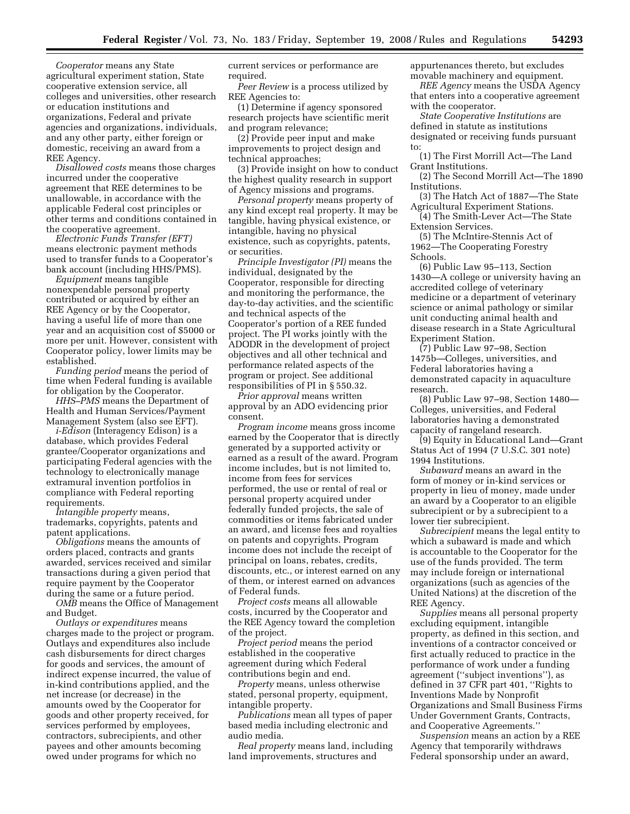*Cooperator* means any State agricultural experiment station, State cooperative extension service, all colleges and universities, other research or education institutions and organizations, Federal and private agencies and organizations, individuals, and any other party, either foreign or domestic, receiving an award from a REE Agency.

*Disallowed costs* means those charges incurred under the cooperative agreement that REE determines to be unallowable, in accordance with the applicable Federal cost principles or other terms and conditions contained in the cooperative agreement.

*Electronic Funds Transfer (EFT)*  means electronic payment methods used to transfer funds to a Cooperator's bank account (including HHS/PMS).

*Equipment* means tangible nonexpendable personal property contributed or acquired by either an REE Agency or by the Cooperator, having a useful life of more than one year and an acquisition cost of \$5000 or more per unit. However, consistent with Cooperator policy, lower limits may be established.

*Funding period* means the period of time when Federal funding is available for obligation by the Cooperator.

*HHS–PMS* means the Department of Health and Human Services/Payment Management System (also see EFT).

*i-Edison* (Interagency Edison) is a database, which provides Federal grantee/Cooperator organizations and participating Federal agencies with the technology to electronically manage extramural invention portfolios in compliance with Federal reporting requirements.

*Intangible property* means, trademarks, copyrights, patents and patent applications.

*Obligations* means the amounts of orders placed, contracts and grants awarded, services received and similar transactions during a given period that require payment by the Cooperator during the same or a future period.

*OMB* means the Office of Management and Budget.

*Outlays or expenditures* means charges made to the project or program. Outlays and expenditures also include cash disbursements for direct charges for goods and services, the amount of indirect expense incurred, the value of in-kind contributions applied, and the net increase (or decrease) in the amounts owed by the Cooperator for goods and other property received, for services performed by employees, contractors, subrecipients, and other payees and other amounts becoming owed under programs for which no

current services or performance are required.

*Peer Review* is a process utilized by REE Agencies to:

(1) Determine if agency sponsored research projects have scientific merit and program relevance;

(2) Provide peer input and make improvements to project design and technical approaches;

(3) Provide insight on how to conduct the highest quality research in support of Agency missions and programs.

*Personal property* means property of any kind except real property. It may be tangible, having physical existence, or intangible, having no physical existence, such as copyrights, patents, or securities.

*Principle Investigator (PI)* means the individual, designated by the Cooperator, responsible for directing and monitoring the performance, the day-to-day activities, and the scientific and technical aspects of the Cooperator's portion of a REE funded project. The PI works jointly with the ADODR in the development of project objectives and all other technical and performance related aspects of the program or project. See additional responsibilities of PI in § 550.32.

*Prior approval* means written approval by an ADO evidencing prior consent.

*Program income* means gross income earned by the Cooperator that is directly generated by a supported activity or earned as a result of the award. Program income includes, but is not limited to, income from fees for services performed, the use or rental of real or personal property acquired under federally funded projects, the sale of commodities or items fabricated under an award, and license fees and royalties on patents and copyrights. Program income does not include the receipt of principal on loans, rebates, credits, discounts, etc., or interest earned on any of them, or interest earned on advances of Federal funds.

*Project costs* means all allowable costs, incurred by the Cooperator and the REE Agency toward the completion of the project.

*Project period* means the period established in the cooperative agreement during which Federal contributions begin and end.

*Property* means, unless otherwise stated, personal property, equipment, intangible property.

*Publications* mean all types of paper based media including electronic and audio media.

*Real property* means land, including land improvements, structures and

appurtenances thereto, but excludes movable machinery and equipment.

*REE Agency* means the USDA Agency that enters into a cooperative agreement with the cooperator.

*State Cooperative Institutions* are defined in statute as institutions designated or receiving funds pursuant to:

(1) The First Morrill Act—The Land Grant Institutions.

(2) The Second Morrill Act—The 1890 Institutions.

(3) The Hatch Act of 1887—The State Agricultural Experiment Stations.

(4) The Smith-Lever Act—The State Extension Services.

(5) The McIntire-Stennis Act of 1962—The Cooperating Forestry Schools.

(6) Public Law 95–113, Section 1430—A college or university having an accredited college of veterinary medicine or a department of veterinary science or animal pathology or similar unit conducting animal health and disease research in a State Agricultural Experiment Station.

(7) Public Law 97–98, Section 1475b—Colleges, universities, and Federal laboratories having a demonstrated capacity in aquaculture research.

(8) Public Law 97–98, Section 1480— Colleges, universities, and Federal laboratories having a demonstrated capacity of rangeland research.

(9) Equity in Educational Land—Grant Status Act of 1994 (7 U.S.C. 301 note) 1994 Institutions.

*Subaward* means an award in the form of money or in-kind services or property in lieu of money, made under an award by a Cooperator to an eligible subrecipient or by a subrecipient to a lower tier subrecipient.

*Subrecipient* means the legal entity to which a subaward is made and which is accountable to the Cooperator for the use of the funds provided. The term may include foreign or international organizations (such as agencies of the United Nations) at the discretion of the REE Agency.

*Supplies* means all personal property excluding equipment, intangible property, as defined in this section, and inventions of a contractor conceived or first actually reduced to practice in the performance of work under a funding agreement (''subject inventions''), as defined in 37 CFR part 401, ''Rights to Inventions Made by Nonprofit Organizations and Small Business Firms Under Government Grants, Contracts, and Cooperative Agreements.''

*Suspension* means an action by a REE Agency that temporarily withdraws Federal sponsorship under an award,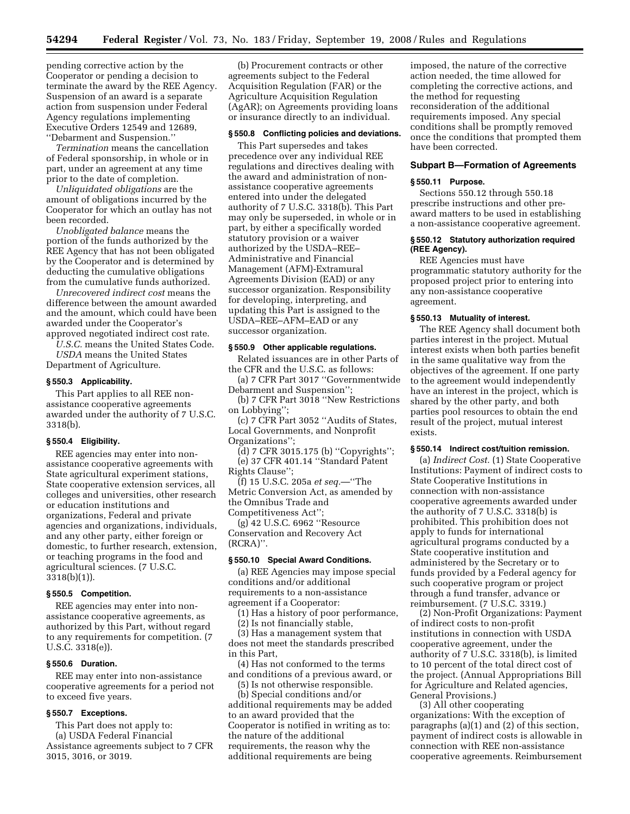pending corrective action by the Cooperator or pending a decision to terminate the award by the REE Agency. Suspension of an award is a separate action from suspension under Federal Agency regulations implementing Executive Orders 12549 and 12689, ''Debarment and Suspension.''

*Termination* means the cancellation of Federal sponsorship, in whole or in part, under an agreement at any time prior to the date of completion.

*Unliquidated obligations* are the amount of obligations incurred by the Cooperator for which an outlay has not been recorded.

*Unobligated balance* means the portion of the funds authorized by the REE Agency that has not been obligated by the Cooperator and is determined by deducting the cumulative obligations from the cumulative funds authorized.

*Unrecovered indirect cost* means the difference between the amount awarded and the amount, which could have been awarded under the Cooperator's approved negotiated indirect cost rate.

*U.S.C.* means the United States Code. *USDA* means the United States

Department of Agriculture.

# **§ 550.3 Applicability.**

This Part applies to all REE nonassistance cooperative agreements awarded under the authority of 7 U.S.C. 3318(b).

## **§ 550.4 Eligibility.**

REE agencies may enter into nonassistance cooperative agreements with State agricultural experiment stations, State cooperative extension services, all colleges and universities, other research or education institutions and organizations, Federal and private agencies and organizations, individuals, and any other party, either foreign or domestic, to further research, extension, or teaching programs in the food and agricultural sciences. (7 U.S.C. 3318(b)(1)).

#### **§ 550.5 Competition.**

REE agencies may enter into nonassistance cooperative agreements, as authorized by this Part, without regard to any requirements for competition. (7 U.S.C. 3318(e)).

#### **§ 550.6 Duration.**

REE may enter into non-assistance cooperative agreements for a period not to exceed five years.

## **§ 550.7 Exceptions.**

This Part does not apply to: (a) USDA Federal Financial Assistance agreements subject to 7 CFR 3015, 3016, or 3019.

(b) Procurement contracts or other agreements subject to the Federal Acquisition Regulation (FAR) or the Agriculture Acquisition Regulation (AgAR); on Agreements providing loans or insurance directly to an individual.

# **§ 550.8 Conflicting policies and deviations.**

This Part supersedes and takes precedence over any individual REE regulations and directives dealing with the award and administration of nonassistance cooperative agreements entered into under the delegated authority of 7 U.S.C. 3318(b). This Part may only be superseded, in whole or in part, by either a specifically worded statutory provision or a waiver authorized by the USDA–REE– Administrative and Financial Management (AFM)-Extramural Agreements Division (EAD) or any successor organization. Responsibility for developing, interpreting, and updating this Part is assigned to the USDA–REE–AFM–EAD or any successor organization.

#### **§ 550.9 Other applicable regulations.**

Related issuances are in other Parts of the CFR and the U.S.C. as follows:

(a) 7 CFR Part 3017 ''Governmentwide Debarment and Suspension'';

(b) 7 CFR Part 3018 ''New Restrictions on Lobbying'';

(c) 7 CFR Part 3052 ''Audits of States, Local Governments, and Nonprofit Organizations'';

(d) 7 CFR 3015.175 (b) ''Copyrights''; (e) 37 CFR 401.14 ''Standard Patent Rights Clause'';

(f) 15 U.S.C. 205a *et seq.*—''The Metric Conversion Act, as amended by the Omnibus Trade and Competitiveness Act'';

(g) 42 U.S.C. 6962 ''Resource Conservation and Recovery Act (RCRA)''.

#### **§ 550.10 Special Award Conditions.**

(a) REE Agencies may impose special conditions and/or additional requirements to a non-assistance agreement if a Cooperator:

(1) Has a history of poor performance,

(2) Is not financially stable,

(3) Has a management system that does not meet the standards prescribed in this Part,

(4) Has not conformed to the terms and conditions of a previous award, or

(5) Is not otherwise responsible.

(b) Special conditions and/or additional requirements may be added to an award provided that the Cooperator is notified in writing as to: the nature of the additional requirements, the reason why the additional requirements are being

imposed, the nature of the corrective action needed, the time allowed for completing the corrective actions, and the method for requesting reconsideration of the additional requirements imposed. Any special conditions shall be promptly removed once the conditions that prompted them have been corrected.

### **Subpart B—Formation of Agreements**

## **§ 550.11 Purpose.**

Sections 550.12 through 550.18 prescribe instructions and other preaward matters to be used in establishing a non-assistance cooperative agreement.

#### **§ 550.12 Statutory authorization required (REE Agency).**

REE Agencies must have programmatic statutory authority for the proposed project prior to entering into any non-assistance cooperative agreement.

#### **§ 550.13 Mutuality of interest.**

The REE Agency shall document both parties interest in the project. Mutual interest exists when both parties benefit in the same qualitative way from the objectives of the agreement. If one party to the agreement would independently have an interest in the project, which is shared by the other party, and both parties pool resources to obtain the end result of the project, mutual interest exists.

#### **§ 550.14 Indirect cost/tuition remission.**

(a) *Indirect Cost.* (1) State Cooperative Institutions: Payment of indirect costs to State Cooperative Institutions in connection with non-assistance cooperative agreements awarded under the authority of 7 U.S.C. 3318(b) is prohibited. This prohibition does not apply to funds for international agricultural programs conducted by a State cooperative institution and administered by the Secretary or to funds provided by a Federal agency for such cooperative program or project through a fund transfer, advance or reimbursement. (7 U.S.C. 3319.)

(2) Non-Profit Organizations: Payment of indirect costs to non-profit institutions in connection with USDA cooperative agreement, under the authority of 7 U.S.C. 3318(b), is limited to 10 percent of the total direct cost of the project. (Annual Appropriations Bill for Agriculture and Related agencies, General Provisions.)

(3) All other cooperating organizations: With the exception of paragraphs (a)(1) and (2) of this section, payment of indirect costs is allowable in connection with REE non-assistance cooperative agreements. Reimbursement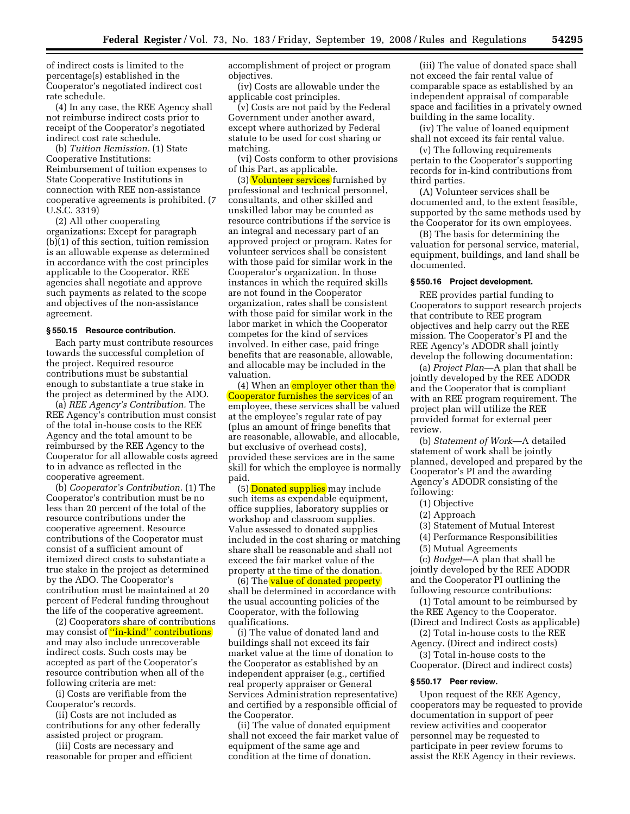of indirect costs is limited to the percentage(s) established in the Cooperator's negotiated indirect cost rate schedule.

(4) In any case, the REE Agency shall not reimburse indirect costs prior to receipt of the Cooperator's negotiated indirect cost rate schedule.

(b) *Tuition Remission.* (1) State Cooperative Institutions: Reimbursement of tuition expenses to State Cooperative Institutions in connection with REE non-assistance cooperative agreements is prohibited. (7 U.S.C. 3319)

(2) All other cooperating organizations: Except for paragraph  $(b)(1)$  of this section, tuition remission is an allowable expense as determined in accordance with the cost principles applicable to the Cooperator. REE agencies shall negotiate and approve such payments as related to the scope and objectives of the non-assistance agreement.

#### **§ 550.15 Resource contribution.**

Each party must contribute resources towards the successful completion of the project. Required resource contributions must be substantial enough to substantiate a true stake in the project as determined by the ADO.

(a) *REE Agency's Contribution.* The REE Agency's contribution must consist of the total in-house costs to the REE Agency and the total amount to be reimbursed by the REE Agency to the Cooperator for all allowable costs agreed to in advance as reflected in the cooperative agreement.

(b) *Cooperator's Contribution.* (1) The Cooperator's contribution must be no less than 20 percent of the total of the resource contributions under the cooperative agreement. Resource contributions of the Cooperator must consist of a sufficient amount of itemized direct costs to substantiate a true stake in the project as determined by the ADO. The Cooperator's contribution must be maintained at 20 percent of Federal funding throughout the life of the cooperative agreement.

(2) Cooperators share of contributions may consist of "in-kind" contributions and may also include unrecoverable indirect costs. Such costs may be accepted as part of the Cooperator's resource contribution when all of the following criteria are met:

(i) Costs are verifiable from the Cooperator's records.

(ii) Costs are not included as contributions for any other federally assisted project or program.

(iii) Costs are necessary and reasonable for proper and efficient accomplishment of project or program objectives.

(iv) Costs are allowable under the applicable cost principles.

(v) Costs are not paid by the Federal Government under another award, except where authorized by Federal statute to be used for cost sharing or matching.

(vi) Costs conform to other provisions of this Part, as applicable.

(3) Volunteer services furnished by professional and technical personnel, consultants, and other skilled and unskilled labor may be counted as resource contributions if the service is an integral and necessary part of an approved project or program. Rates for volunteer services shall be consistent with those paid for similar work in the Cooperator's organization. In those instances in which the required skills are not found in the Cooperator organization, rates shall be consistent with those paid for similar work in the labor market in which the Cooperator competes for the kind of services involved. In either case, paid fringe benefits that are reasonable, allowable, and allocable may be included in the valuation.

(4) When an employer other than the Cooperator furnishes the services of an employee, these services shall be valued at the employee's regular rate of pay (plus an amount of fringe benefits that are reasonable, allowable, and allocable, but exclusive of overhead costs), provided these services are in the same skill for which the employee is normally paid.

(5) Donated supplies may include such items as expendable equipment, office supplies, laboratory supplies or workshop and classroom supplies. Value assessed to donated supplies included in the cost sharing or matching share shall be reasonable and shall not exceed the fair market value of the property at the time of the donation.

(6) The value of donated property shall be determined in accordance with the usual accounting policies of the Cooperator, with the following qualifications.

(i) The value of donated land and buildings shall not exceed its fair market value at the time of donation to the Cooperator as established by an independent appraiser (e.g., certified real property appraiser or General Services Administration representative) and certified by a responsible official of the Cooperator.

(ii) The value of donated equipment shall not exceed the fair market value of equipment of the same age and condition at the time of donation.

(iii) The value of donated space shall not exceed the fair rental value of comparable space as established by an independent appraisal of comparable space and facilities in a privately owned building in the same locality.

(iv) The value of loaned equipment shall not exceed its fair rental value.

(v) The following requirements pertain to the Cooperator's supporting records for in-kind contributions from third parties.

(A) Volunteer services shall be documented and, to the extent feasible, supported by the same methods used by the Cooperator for its own employees.

(B) The basis for determining the valuation for personal service, material, equipment, buildings, and land shall be documented.

## **§ 550.16 Project development.**

REE provides partial funding to Cooperators to support research projects that contribute to REE program objectives and help carry out the REE mission. The Cooperator's PI and the REE Agency's ADODR shall jointly develop the following documentation:

(a) *Project Plan*—A plan that shall be jointly developed by the REE ADODR and the Cooperator that is compliant with an REE program requirement. The project plan will utilize the REE provided format for external peer review.

(b) *Statement of Work*—A detailed statement of work shall be jointly planned, developed and prepared by the Cooperator's PI and the awarding Agency's ADODR consisting of the following:

- (1) Objective
- (2) Approach
- (3) Statement of Mutual Interest
- (4) Performance Responsibilities
- (5) Mutual Agreements

(c) *Budget*—A plan that shall be jointly developed by the REE ADODR and the Cooperator PI outlining the following resource contributions:

(1) Total amount to be reimbursed by the REE Agency to the Cooperator.

(Direct and Indirect Costs as applicable) (2) Total in-house costs to the REE

Agency. (Direct and indirect costs) (3) Total in-house costs to the

Cooperator. (Direct and indirect costs)

## **§ 550.17 Peer review.**

Upon request of the REE Agency, cooperators may be requested to provide documentation in support of peer review activities and cooperator personnel may be requested to participate in peer review forums to assist the REE Agency in their reviews.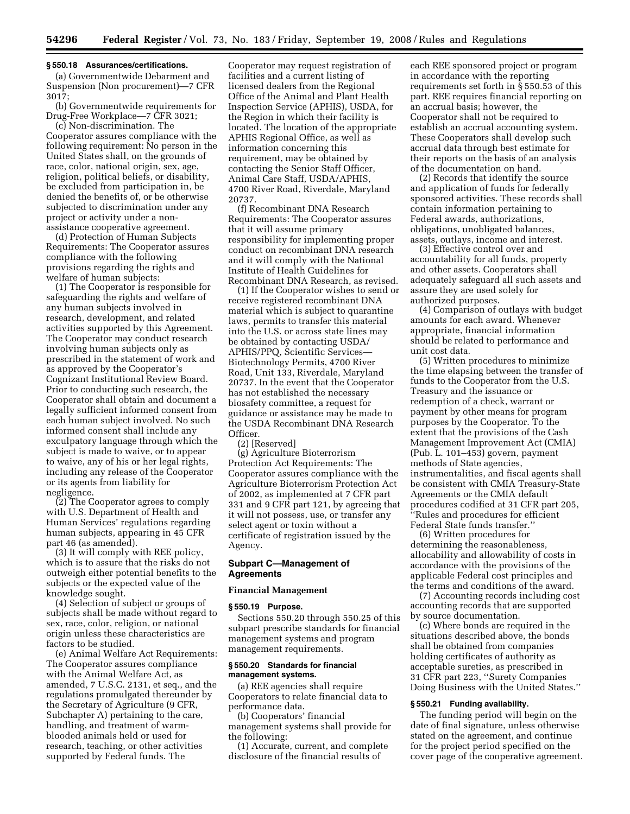#### **§ 550.18 Assurances/certifications.**

(a) Governmentwide Debarment and Suspension (Non procurement)—7 CFR 3017;

(b) Governmentwide requirements for Drug-Free Workplace—7 CFR 3021;

(c) Non-discrimination. The Cooperator assures compliance with the following requirement: No person in the United States shall, on the grounds of race, color, national origin, sex, age, religion, political beliefs, or disability, be excluded from participation in, be denied the benefits of, or be otherwise subjected to discrimination under any project or activity under a nonassistance cooperative agreement.

(d) Protection of Human Subjects Requirements: The Cooperator assures compliance with the following provisions regarding the rights and welfare of human subjects:

(1) The Cooperator is responsible for safeguarding the rights and welfare of any human subjects involved in research, development, and related activities supported by this Agreement. The Cooperator may conduct research involving human subjects only as prescribed in the statement of work and as approved by the Cooperator's Cognizant Institutional Review Board. Prior to conducting such research, the Cooperator shall obtain and document a legally sufficient informed consent from each human subject involved. No such informed consent shall include any exculpatory language through which the subject is made to waive, or to appear to waive, any of his or her legal rights, including any release of the Cooperator or its agents from liability for negligence.

(2) The Cooperator agrees to comply with U.S. Department of Health and Human Services' regulations regarding human subjects, appearing in 45 CFR part 46 (as amended).

(3) It will comply with REE policy, which is to assure that the risks do not outweigh either potential benefits to the subjects or the expected value of the knowledge sought.

(4) Selection of subject or groups of subjects shall be made without regard to sex, race, color, religion, or national origin unless these characteristics are factors to be studied.

(e) Animal Welfare Act Requirements: The Cooperator assures compliance with the Animal Welfare Act, as amended, 7 U.S.C. 2131, et seq., and the regulations promulgated thereunder by the Secretary of Agriculture (9 CFR, Subchapter A) pertaining to the care, handling, and treatment of warmblooded animals held or used for research, teaching, or other activities supported by Federal funds. The

Cooperator may request registration of facilities and a current listing of licensed dealers from the Regional Office of the Animal and Plant Health Inspection Service (APHIS), USDA, for the Region in which their facility is located. The location of the appropriate APHIS Regional Office, as well as information concerning this requirement, may be obtained by contacting the Senior Staff Officer, Animal Care Staff, USDA/APHIS, 4700 River Road, Riverdale, Maryland 20737.

(f) Recombinant DNA Research Requirements: The Cooperator assures that it will assume primary responsibility for implementing proper conduct on recombinant DNA research and it will comply with the National Institute of Health Guidelines for Recombinant DNA Research, as revised.

(1) If the Cooperator wishes to send or receive registered recombinant DNA material which is subject to quarantine laws, permits to transfer this material into the U.S. or across state lines may be obtained by contacting USDA/ APHIS/PPQ, Scientific Services— Biotechnology Permits, 4700 River Road, Unit 133, Riverdale, Maryland 20737. In the event that the Cooperator has not established the necessary biosafety committee, a request for guidance or assistance may be made to the USDA Recombinant DNA Research Officer.

(2) [Reserved]

(g) Agriculture Bioterrorism Protection Act Requirements: The Cooperator assures compliance with the Agriculture Bioterrorism Protection Act of 2002, as implemented at 7 CFR part 331 and 9 CFR part 121, by agreeing that it will not possess, use, or transfer any select agent or toxin without a certificate of registration issued by the Agency.

## **Subpart C—Management of Agreements**

#### **Financial Management**

#### **§ 550.19 Purpose.**

Sections 550.20 through 550.25 of this subpart prescribe standards for financial management systems and program management requirements.

## **§ 550.20 Standards for financial management systems.**

(a) REE agencies shall require Cooperators to relate financial data to performance data.

(b) Cooperators' financial management systems shall provide for the following:

(1) Accurate, current, and complete disclosure of the financial results of

each REE sponsored project or program in accordance with the reporting requirements set forth in § 550.53 of this part. REE requires financial reporting on an accrual basis; however, the Cooperator shall not be required to establish an accrual accounting system. These Cooperators shall develop such accrual data through best estimate for their reports on the basis of an analysis of the documentation on hand.

(2) Records that identify the source and application of funds for federally sponsored activities. These records shall contain information pertaining to Federal awards, authorizations, obligations, unobligated balances, assets, outlays, income and interest.

(3) Effective control over and accountability for all funds, property and other assets. Cooperators shall adequately safeguard all such assets and assure they are used solely for authorized purposes.

(4) Comparison of outlays with budget amounts for each award. Whenever appropriate, financial information should be related to performance and unit cost data.

(5) Written procedures to minimize the time elapsing between the transfer of funds to the Cooperator from the U.S. Treasury and the issuance or redemption of a check, warrant or payment by other means for program purposes by the Cooperator. To the extent that the provisions of the Cash Management Improvement Act (CMIA) (Pub. L. 101–453) govern, payment methods of State agencies, instrumentalities, and fiscal agents shall be consistent with CMIA Treasury-State Agreements or the CMIA default procedures codified at 31 CFR part 205, ''Rules and procedures for efficient Federal State funds transfer.''

(6) Written procedures for determining the reasonableness, allocability and allowability of costs in accordance with the provisions of the applicable Federal cost principles and the terms and conditions of the award.

(7) Accounting records including cost accounting records that are supported by source documentation.

(c) Where bonds are required in the situations described above, the bonds shall be obtained from companies holding certificates of authority as acceptable sureties, as prescribed in 31 CFR part 223, ''Surety Companies Doing Business with the United States.''

#### **§ 550.21 Funding availability.**

The funding period will begin on the date of final signature, unless otherwise stated on the agreement, and continue for the project period specified on the cover page of the cooperative agreement.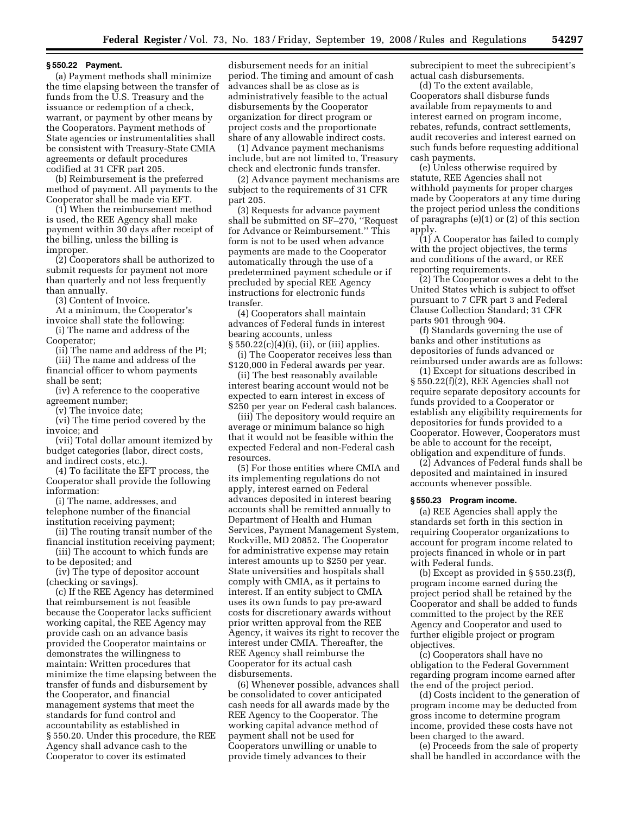#### **§ 550.22 Payment.**

(a) Payment methods shall minimize the time elapsing between the transfer of funds from the U.S. Treasury and the issuance or redemption of a check, warrant, or payment by other means by the Cooperators. Payment methods of State agencies or instrumentalities shall be consistent with Treasury-State CMIA agreements or default procedures codified at 31 CFR part 205.

(b) Reimbursement is the preferred method of payment. All payments to the Cooperator shall be made via EFT.

(1) When the reimbursement method is used, the REE Agency shall make payment within 30 days after receipt of the billing, unless the billing is improper.

(2) Cooperators shall be authorized to submit requests for payment not more than quarterly and not less frequently than annually.

(3) Content of Invoice.

At a minimum, the Cooperator's invoice shall state the following:

(i) The name and address of the Cooperator;

(ii) The name and address of the PI; (iii) The name and address of the

financial officer to whom payments shall be sent;

(iv) A reference to the cooperative agreement number;

(v) The invoice date;

(vi) The time period covered by the invoice; and

(vii) Total dollar amount itemized by budget categories (labor, direct costs, and indirect costs, etc.).

(4) To facilitate the EFT process, the Cooperator shall provide the following information:

(i) The name, addresses, and telephone number of the financial institution receiving payment;

(ii) The routing transit number of the financial institution receiving payment;

(iii) The account to which funds are to be deposited; and

(iv) The type of depositor account (checking or savings).

(c) If the REE Agency has determined that reimbursement is not feasible because the Cooperator lacks sufficient working capital, the REE Agency may provide cash on an advance basis provided the Cooperator maintains or demonstrates the willingness to maintain: Written procedures that minimize the time elapsing between the transfer of funds and disbursement by the Cooperator, and financial management systems that meet the standards for fund control and accountability as established in § 550.20. Under this procedure, the REE Agency shall advance cash to the Cooperator to cover its estimated

disbursement needs for an initial period. The timing and amount of cash advances shall be as close as is administratively feasible to the actual disbursements by the Cooperator organization for direct program or project costs and the proportionate share of any allowable indirect costs.

(1) Advance payment mechanisms include, but are not limited to, Treasury check and electronic funds transfer.

(2) Advance payment mechanisms are subject to the requirements of 31 CFR part 205.

(3) Requests for advance payment shall be submitted on SF–270, ''Request for Advance or Reimbursement.'' This form is not to be used when advance payments are made to the Cooperator automatically through the use of a predetermined payment schedule or if precluded by special REE Agency instructions for electronic funds transfer.

(4) Cooperators shall maintain advances of Federal funds in interest bearing accounts, unless

§ 550.22(c)(4)(i), (ii), or (iii) applies. (i) The Cooperator receives less than

\$120,000 in Federal awards per year. (ii) The best reasonably available interest bearing account would not be expected to earn interest in excess of

\$250 per year on Federal cash balances. (iii) The depository would require an average or minimum balance so high that it would not be feasible within the expected Federal and non-Federal cash resources.

(5) For those entities where CMIA and its implementing regulations do not apply, interest earned on Federal advances deposited in interest bearing accounts shall be remitted annually to Department of Health and Human Services, Payment Management System, Rockville, MD 20852. The Cooperator for administrative expense may retain interest amounts up to \$250 per year. State universities and hospitals shall comply with CMIA, as it pertains to interest. If an entity subject to CMIA uses its own funds to pay pre-award costs for discretionary awards without prior written approval from the REE Agency, it waives its right to recover the interest under CMIA. Thereafter, the REE Agency shall reimburse the Cooperator for its actual cash disbursements.

(6) Whenever possible, advances shall be consolidated to cover anticipated cash needs for all awards made by the REE Agency to the Cooperator. The working capital advance method of payment shall not be used for Cooperators unwilling or unable to provide timely advances to their

subrecipient to meet the subrecipient's actual cash disbursements.

(d) To the extent available, Cooperators shall disburse funds available from repayments to and interest earned on program income, rebates, refunds, contract settlements, audit recoveries and interest earned on such funds before requesting additional cash payments.

(e) Unless otherwise required by statute, REE Agencies shall not withhold payments for proper charges made by Cooperators at any time during the project period unless the conditions of paragraphs (e)(1) or (2) of this section apply.

(1) A Cooperator has failed to comply with the project objectives, the terms and conditions of the award, or REE reporting requirements.

(2) The Cooperator owes a debt to the United States which is subject to offset pursuant to 7 CFR part 3 and Federal Clause Collection Standard; 31 CFR parts 901 through 904.

(f) Standards governing the use of banks and other institutions as depositories of funds advanced or reimbursed under awards are as follows:

(1) Except for situations described in § 550.22(f)(2), REE Agencies shall not require separate depository accounts for funds provided to a Cooperator or establish any eligibility requirements for depositories for funds provided to a Cooperator. However, Cooperators must be able to account for the receipt, obligation and expenditure of funds.

(2) Advances of Federal funds shall be deposited and maintained in insured accounts whenever possible.

#### **§ 550.23 Program income.**

(a) REE Agencies shall apply the standards set forth in this section in requiring Cooperator organizations to account for program income related to projects financed in whole or in part with Federal funds.

(b) Except as provided in § 550.23(f), program income earned during the project period shall be retained by the Cooperator and shall be added to funds committed to the project by the REE Agency and Cooperator and used to further eligible project or program objectives.

(c) Cooperators shall have no obligation to the Federal Government regarding program income earned after the end of the project period.

(d) Costs incident to the generation of program income may be deducted from gross income to determine program income, provided these costs have not been charged to the award.

(e) Proceeds from the sale of property shall be handled in accordance with the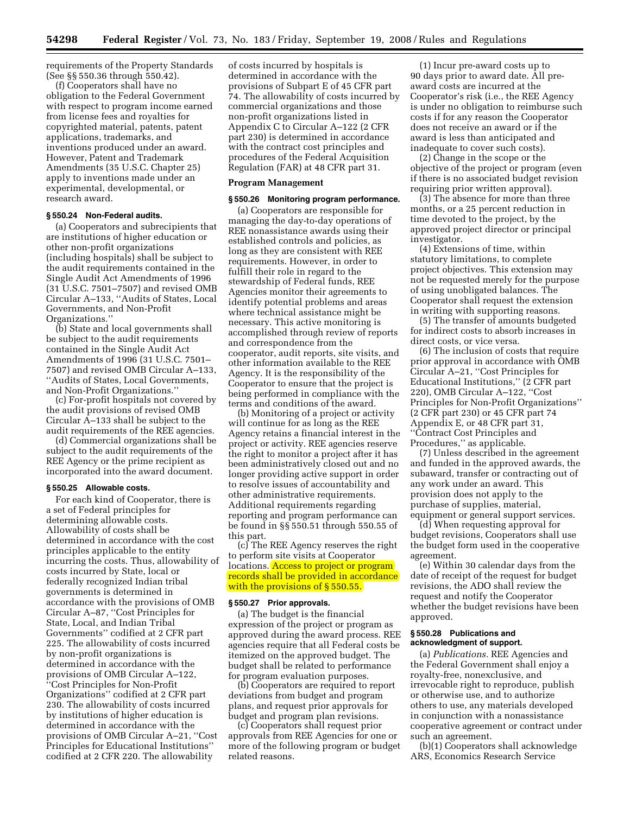requirements of the Property Standards (See §§ 550.36 through 550.42).

(f) Cooperators shall have no obligation to the Federal Government with respect to program income earned from license fees and royalties for copyrighted material, patents, patent applications, trademarks, and inventions produced under an award. However, Patent and Trademark Amendments (35 U.S.C. Chapter 25) apply to inventions made under an experimental, developmental, or research award.

# **§ 550.24 Non-Federal audits.**

(a) Cooperators and subrecipients that are institutions of higher education or other non-profit organizations (including hospitals) shall be subject to the audit requirements contained in the Single Audit Act Amendments of 1996 (31 U.S.C. 7501–7507) and revised OMB Circular A–133, ''Audits of States, Local Governments, and Non-Profit Organizations.''

(b) State and local governments shall be subject to the audit requirements contained in the Single Audit Act Amendments of 1996 (31 U.S.C. 7501– 7507) and revised OMB Circular A–133, ''Audits of States, Local Governments, and Non-Profit Organizations.''

(c) For-profit hospitals not covered by the audit provisions of revised OMB Circular A–133 shall be subject to the audit requirements of the REE agencies.

(d) Commercial organizations shall be subject to the audit requirements of the REE Agency or the prime recipient as incorporated into the award document.

#### **§ 550.25 Allowable costs.**

For each kind of Cooperator, there is a set of Federal principles for determining allowable costs. Allowability of costs shall be determined in accordance with the cost principles applicable to the entity incurring the costs. Thus, allowability of costs incurred by State, local or federally recognized Indian tribal governments is determined in accordance with the provisions of OMB Circular A–87, ''Cost Principles for State, Local, and Indian Tribal Governments'' codified at 2 CFR part 225. The allowability of costs incurred by non-profit organizations is determined in accordance with the provisions of OMB Circular A–122, 'Cost Principles for Non-Profit Organizations'' codified at 2 CFR part 230. The allowability of costs incurred by institutions of higher education is determined in accordance with the provisions of OMB Circular A–21, ''Cost Principles for Educational Institutions'' codified at 2 CFR 220. The allowability

of costs incurred by hospitals is determined in accordance with the provisions of Subpart E of 45 CFR part 74. The allowability of costs incurred by commercial organizations and those non-profit organizations listed in Appendix C to Circular A–122 (2 CFR part 230) is determined in accordance with the contract cost principles and procedures of the Federal Acquisition Regulation (FAR) at 48 CFR part 31.

#### **Program Management**

# **§ 550.26 Monitoring program performance.**

(a) Cooperators are responsible for managing the day-to-day operations of REE nonassistance awards using their established controls and policies, as long as they are consistent with REE requirements. However, in order to fulfill their role in regard to the stewardship of Federal funds, REE Agencies monitor their agreements to identify potential problems and areas where technical assistance might be necessary. This active monitoring is accomplished through review of reports and correspondence from the cooperator, audit reports, site visits, and other information available to the REE Agency. It is the responsibility of the Cooperator to ensure that the project is being performed in compliance with the terms and conditions of the award.

(b) Monitoring of a project or activity will continue for as long as the REE Agency retains a financial interest in the project or activity. REE agencies reserve the right to monitor a project after it has been administratively closed out and no longer providing active support in order to resolve issues of accountability and other administrative requirements. Additional requirements regarding reporting and program performance can be found in §§ 550.51 through 550.55 of this part.

(c) The REE Agency reserves the right to perform site visits at Cooperator locations. **Access to project or program** records shall be provided in accordance with the provisions of § 550.55.

## **§ 550.27 Prior approvals.**

(a) The budget is the financial expression of the project or program as approved during the award process. REE agencies require that all Federal costs be itemized on the approved budget. The budget shall be related to performance for program evaluation purposes.

(b) Cooperators are required to report deviations from budget and program plans, and request prior approvals for budget and program plan revisions.

(c) Cooperators shall request prior approvals from REE Agencies for one or more of the following program or budget related reasons.

(1) Incur pre-award costs up to 90 days prior to award date. All preaward costs are incurred at the Cooperator's risk (i.e., the REE Agency is under no obligation to reimburse such costs if for any reason the Cooperator does not receive an award or if the award is less than anticipated and inadequate to cover such costs).

(2) Change in the scope or the objective of the project or program (even if there is no associated budget revision requiring prior written approval).

(3) The absence for more than three months, or a 25 percent reduction in time devoted to the project, by the approved project director or principal investigator.

(4) Extensions of time, within statutory limitations, to complete project objectives. This extension may not be requested merely for the purpose of using unobligated balances. The Cooperator shall request the extension in writing with supporting reasons.

(5) The transfer of amounts budgeted for indirect costs to absorb increases in direct costs, or vice versa.

(6) The inclusion of costs that require prior approval in accordance with OMB Circular A–21, ''Cost Principles for Educational Institutions,'' (2 CFR part 220), OMB Circular A–122, ''Cost Principles for Non-Profit Organizations'' (2 CFR part 230) or 45 CFR part 74 Appendix E, or 48 CFR part 31, ''Contract Cost Principles and Procedures," as applicable.

(7) Unless described in the agreement and funded in the approved awards, the subaward, transfer or contracting out of any work under an award. This provision does not apply to the purchase of supplies, material, equipment or general support services.

(d) When requesting approval for budget revisions, Cooperators shall use the budget form used in the cooperative agreement.

(e) Within 30 calendar days from the date of receipt of the request for budget revisions, the ADO shall review the request and notify the Cooperator whether the budget revisions have been approved.

# **§ 550.28 Publications and acknowledgment of support.**

(a) *Publications.* REE Agencies and the Federal Government shall enjoy a royalty-free, nonexclusive, and irrevocable right to reproduce, publish or otherwise use, and to authorize others to use, any materials developed in conjunction with a nonassistance cooperative agreement or contract under such an agreement.

(b)(1) Cooperators shall acknowledge ARS, Economics Research Service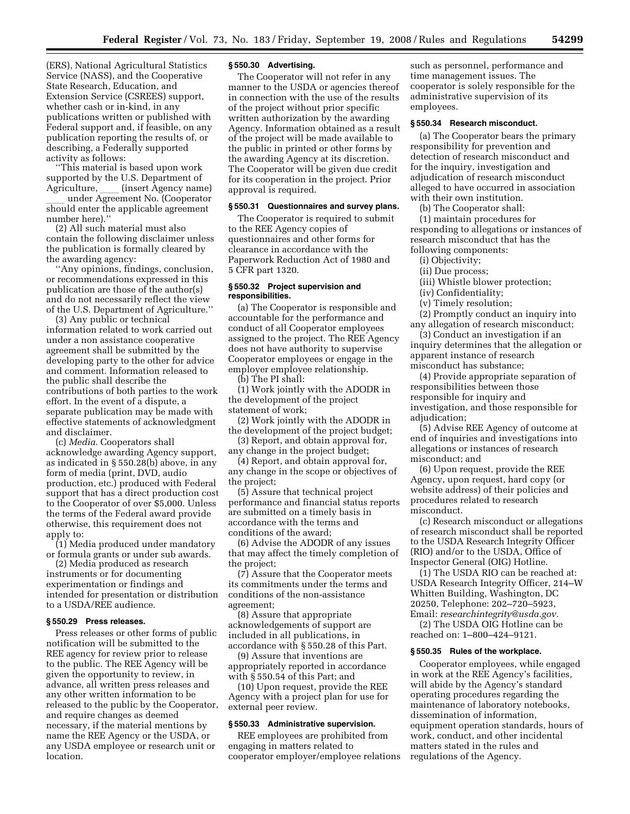(ERS), National Agricultural Statistics Service (NASS), and the Cooperative State Research, Education, and Extension Service (CSREES) support, whether cash or in-kind, in any publications written or published with Federal support and, if feasible, on any publication reporting the results of, or describing, a Federally supported activity as follows:

''This material is based upon work supported by the U.S. Department of Agriculture, \_\_\_ (insert Agency name)<br>under Agreement No. (Cooperator

under Agreement No. (Cooperator)<br>should enter the annlicable agreement should enter the applicable agreement number here).''

(2) All such material must also contain the following disclaimer unless the publication is formally cleared by the awarding agency:

'Any opinions, findings, conclusion, or recommendations expressed in this publication are those of the author(s) and do not necessarily reflect the view of the U.S. Department of Agriculture.''

(3) Any public or technical information related to work carried out under a non assistance cooperative agreement shall be submitted by the developing party to the other for advice and comment. Information released to the public shall describe the contributions of both parties to the work effort. In the event of a dispute, a separate publication may be made with effective statements of acknowledgment and disclaimer.

(c) *Media.* Cooperators shall acknowledge awarding Agency support, as indicated in § 550.28(b) above, in any form of media (print, DVD, audio production, etc.) produced with Federal support that has a direct production cost to the Cooperator of over \$5,000. Unless the terms of the Federal award provide otherwise, this requirement does not apply to:

(1) Media produced under mandatory or formula grants or under sub awards.

(2) Media produced as research instruments or for documenting experimentation or findings and intended for presentation or distribution to a USDA/REE audience.

#### **§ 550.29 Press releases.**

Press releases or other forms of public notification will be submitted to the REE agency for review prior to release to the public. The REE Agency will be given the opportunity to review, in advance, all written press releases and any other written information to be released to the public by the Cooperator, and require changes as deemed necessary, if the material mentions by name the REE Agency or the USDA, or any USDA employee or research unit or location.

#### **§ 550.30 Advertising.**

The Cooperator will not refer in any manner to the USDA or agencies thereof in connection with the use of the results of the project without prior specific written authorization by the awarding Agency. Information obtained as a result of the project will be made available to the public in printed or other forms by the awarding Agency at its discretion. The Cooperator will be given due credit for its cooperation in the project. Prior approval is required.

# **§ 550.31 Questionnaires and survey plans.**

The Cooperator is required to submit to the REE Agency copies of questionnaires and other forms for clearance in accordance with the Paperwork Reduction Act of 1980 and 5 CFR part 1320.

## **§ 550.32 Project supervision and responsibilities.**

(a) The Cooperator is responsible and accountable for the performance and conduct of all Cooperator employees assigned to the project. The REE Agency does not have authority to supervise Cooperator employees or engage in the employer employee relationship. (b) The PI shall:

(1) Work jointly with the ADODR in the development of the project

statement of work; (2) Work jointly with the ADODR in

the development of the project budget;

(3) Report, and obtain approval for, any change in the project budget;

(4) Report, and obtain approval for,

any change in the scope or objectives of the project;

(5) Assure that technical project performance and financial status reports are submitted on a timely basis in accordance with the terms and conditions of the award;

(6) Advise the ADODR of any issues that may affect the timely completion of the project;

(7) Assure that the Cooperator meets its commitments under the terms and conditions of the non-assistance agreement;

(8) Assure that appropriate acknowledgements of support are included in all publications, in accordance with § 550.28 of this Part.

(9) Assure that inventions are appropriately reported in accordance with § 550.54 of this Part; and

(10) Upon request, provide the REE Agency with a project plan for use for external peer review.

### **§ 550.33 Administrative supervision.**

REE employees are prohibited from engaging in matters related to cooperator employer/employee relations

such as personnel, performance and time management issues. The cooperator is solely responsible for the administrative supervision of its employees.

## **§ 550.34 Research misconduct.**

(a) The Cooperator bears the primary responsibility for prevention and detection of research misconduct and for the inquiry, investigation and adjudication of research misconduct alleged to have occurred in association with their own institution.

(b) The Cooperator shall:

(1) maintain procedures for responding to allegations or instances of research misconduct that has the following components:

(i) Objectivity;

(ii) Due process;

(iii) Whistle blower protection;

(iv) Confidentiality;

(v) Timely resolution;

(2) Promptly conduct an inquiry into

any allegation of research misconduct;

(3) Conduct an investigation if an inquiry determines that the allegation or apparent instance of research misconduct has substance;

(4) Provide appropriate separation of responsibilities between those responsible for inquiry and investigation, and those responsible for adjudication;

(5) Advise REE Agency of outcome at end of inquiries and investigations into allegations or instances of research misconduct; and

(6) Upon request, provide the REE Agency, upon request, hard copy (or website address) of their policies and procedures related to research misconduct.

(c) Research misconduct or allegations of research misconduct shall be reported to the USDA Research Integrity Officer (RIO) and/or to the USDA, Office of Inspector General (OIG) Hotline.

(1) The USDA RIO can be reached at: USDA Research Integrity Officer, 214–W Whitten Building, Washington, DC 20250, Telephone: 202–720–5923, Email: *[researchintegrity@usda.gov.](mailto:researchintegrity@usda.gov)* 

(2) The USDA OIG Hotline can be reached on: 1–800–424–9121.

#### **§ 550.35 Rules of the workplace.**

Cooperator employees, while engaged in work at the REE Agency's facilities, will abide by the Agency's standard operating procedures regarding the maintenance of laboratory notebooks, dissemination of information, equipment operation standards, hours of work, conduct, and other incidental matters stated in the rules and regulations of the Agency.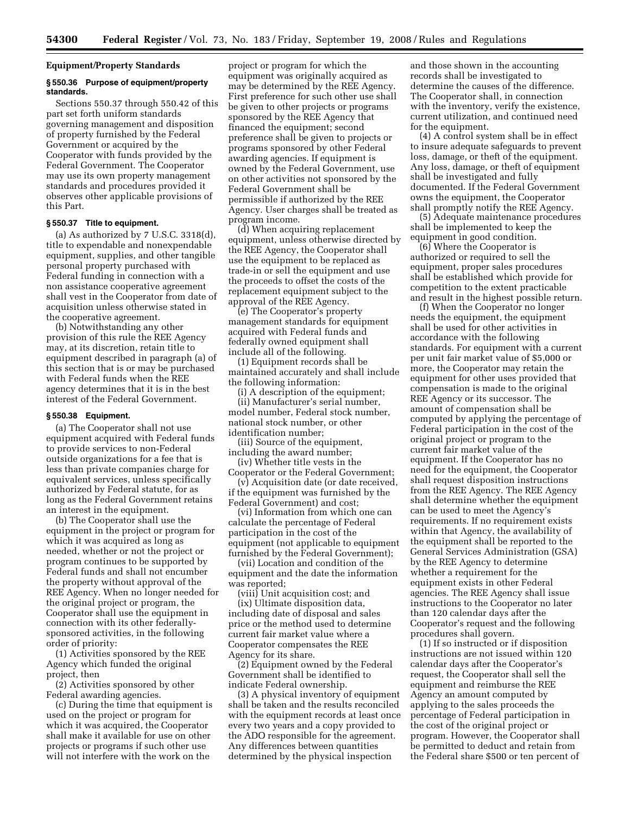# **Equipment/Property Standards**

# **§ 550.36 Purpose of equipment/property standards.**

Sections 550.37 through 550.42 of this part set forth uniform standards governing management and disposition of property furnished by the Federal Government or acquired by the Cooperator with funds provided by the Federal Government. The Cooperator may use its own property management standards and procedures provided it observes other applicable provisions of this Part.

## **§ 550.37 Title to equipment.**

(a) As authorized by 7 U.S.C. 3318(d), title to expendable and nonexpendable equipment, supplies, and other tangible personal property purchased with Federal funding in connection with a non assistance cooperative agreement shall vest in the Cooperator from date of acquisition unless otherwise stated in the cooperative agreement.

(b) Notwithstanding any other provision of this rule the REE Agency may, at its discretion, retain title to equipment described in paragraph (a) of this section that is or may be purchased with Federal funds when the REE agency determines that it is in the best interest of the Federal Government.

#### **§ 550.38 Equipment.**

(a) The Cooperator shall not use equipment acquired with Federal funds to provide services to non-Federal outside organizations for a fee that is less than private companies charge for equivalent services, unless specifically authorized by Federal statute, for as long as the Federal Government retains an interest in the equipment.

(b) The Cooperator shall use the equipment in the project or program for which it was acquired as long as needed, whether or not the project or program continues to be supported by Federal funds and shall not encumber the property without approval of the REE Agency. When no longer needed for the original project or program, the Cooperator shall use the equipment in connection with its other federallysponsored activities, in the following order of priority:

(1) Activities sponsored by the REE Agency which funded the original project, then

(2) Activities sponsored by other Federal awarding agencies.

(c) During the time that equipment is used on the project or program for which it was acquired, the Cooperator shall make it available for use on other projects or programs if such other use will not interfere with the work on the

project or program for which the equipment was originally acquired as may be determined by the REE Agency. First preference for such other use shall be given to other projects or programs sponsored by the REE Agency that financed the equipment; second preference shall be given to projects or programs sponsored by other Federal awarding agencies. If equipment is owned by the Federal Government, use on other activities not sponsored by the Federal Government shall be permissible if authorized by the REE Agency. User charges shall be treated as program income.

(d) When acquiring replacement equipment, unless otherwise directed by the REE Agency, the Cooperator shall use the equipment to be replaced as trade-in or sell the equipment and use the proceeds to offset the costs of the replacement equipment subject to the approval of the REE Agency.

(e) The Cooperator's property management standards for equipment acquired with Federal funds and federally owned equipment shall include all of the following.

(1) Equipment records shall be maintained accurately and shall include the following information:

(i) A description of the equipment; (ii) Manufacturer's serial number, model number, Federal stock number, national stock number, or other

identification number; (iii) Source of the equipment,

including the award number; (iv) Whether title vests in the

Cooperator or the Federal Government; (v) Acquisition date (or date received,

if the equipment was furnished by the Federal Government) and cost;

(vi) Information from which one can calculate the percentage of Federal participation in the cost of the equipment (not applicable to equipment furnished by the Federal Government);

(vii) Location and condition of the equipment and the date the information was reported;

(viii) Unit acquisition cost; and (ix) Ultimate disposition data, including date of disposal and sales price or the method used to determine current fair market value where a Cooperator compensates the REE Agency for its share.

(2) Equipment owned by the Federal Government shall be identified to indicate Federal ownership.

(3) A physical inventory of equipment shall be taken and the results reconciled with the equipment records at least once every two years and a copy provided to the ADO responsible for the agreement. Any differences between quantities determined by the physical inspection

and those shown in the accounting records shall be investigated to determine the causes of the difference. The Cooperator shall, in connection with the inventory, verify the existence, current utilization, and continued need for the equipment.

(4) A control system shall be in effect to insure adequate safeguards to prevent loss, damage, or theft of the equipment. Any loss, damage, or theft of equipment shall be investigated and fully documented. If the Federal Government owns the equipment, the Cooperator shall promptly notify the REE Agency.

(5) Adequate maintenance procedures shall be implemented to keep the equipment in good condition.

(6) Where the Cooperator is authorized or required to sell the equipment, proper sales procedures shall be established which provide for competition to the extent practicable and result in the highest possible return.

(f) When the Cooperator no longer needs the equipment, the equipment shall be used for other activities in accordance with the following standards. For equipment with a current per unit fair market value of \$5,000 or more, the Cooperator may retain the equipment for other uses provided that compensation is made to the original REE Agency or its successor. The amount of compensation shall be computed by applying the percentage of Federal participation in the cost of the original project or program to the current fair market value of the equipment. If the Cooperator has no need for the equipment, the Cooperator shall request disposition instructions from the REE Agency. The REE Agency shall determine whether the equipment can be used to meet the Agency's requirements. If no requirement exists within that Agency, the availability of the equipment shall be reported to the General Services Administration (GSA) by the REE Agency to determine whether a requirement for the equipment exists in other Federal agencies. The REE Agency shall issue instructions to the Cooperator no later than 120 calendar days after the Cooperator's request and the following procedures shall govern.

(1) If so instructed or if disposition instructions are not issued within 120 calendar days after the Cooperator's request, the Cooperator shall sell the equipment and reimburse the REE Agency an amount computed by applying to the sales proceeds the percentage of Federal participation in the cost of the original project or program. However, the Cooperator shall be permitted to deduct and retain from the Federal share \$500 or ten percent of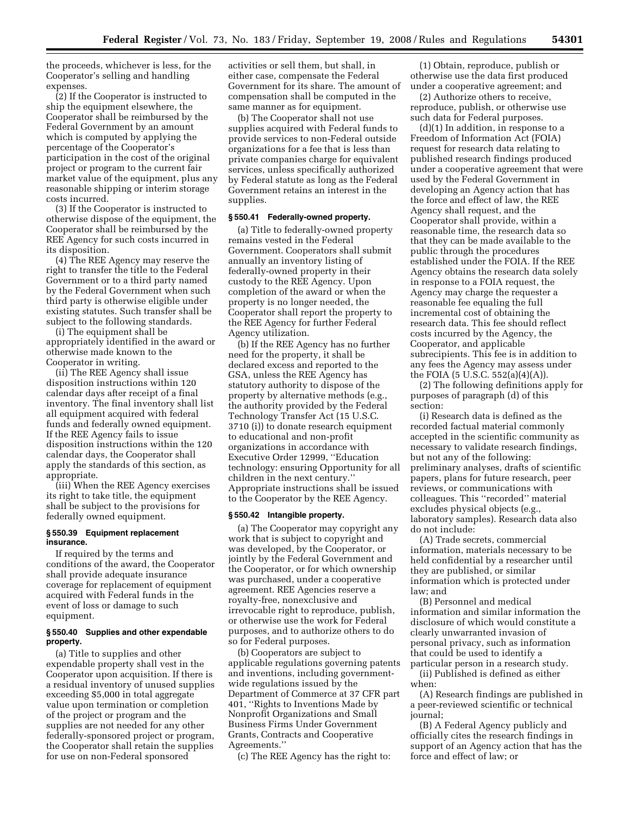the proceeds, whichever is less, for the Cooperator's selling and handling expenses.

(2) If the Cooperator is instructed to ship the equipment elsewhere, the Cooperator shall be reimbursed by the Federal Government by an amount which is computed by applying the percentage of the Cooperator's participation in the cost of the original project or program to the current fair market value of the equipment, plus any reasonable shipping or interim storage costs incurred.

(3) If the Cooperator is instructed to otherwise dispose of the equipment, the Cooperator shall be reimbursed by the REE Agency for such costs incurred in its disposition.

(4) The REE Agency may reserve the right to transfer the title to the Federal Government or to a third party named by the Federal Government when such third party is otherwise eligible under existing statutes. Such transfer shall be subject to the following standards.

(i) The equipment shall be appropriately identified in the award or otherwise made known to the Cooperator in writing.

(ii) The REE Agency shall issue disposition instructions within 120 calendar days after receipt of a final inventory. The final inventory shall list all equipment acquired with federal funds and federally owned equipment. If the REE Agency fails to issue disposition instructions within the 120 calendar days, the Cooperator shall apply the standards of this section, as appropriate.

(iii) When the REE Agency exercises its right to take title, the equipment shall be subject to the provisions for federally owned equipment.

#### **§ 550.39 Equipment replacement insurance.**

If required by the terms and conditions of the award, the Cooperator shall provide adequate insurance coverage for replacement of equipment acquired with Federal funds in the event of loss or damage to such equipment.

## **§ 550.40 Supplies and other expendable property.**

(a) Title to supplies and other expendable property shall vest in the Cooperator upon acquisition. If there is a residual inventory of unused supplies exceeding \$5,000 in total aggregate value upon termination or completion of the project or program and the supplies are not needed for any other federally-sponsored project or program, the Cooperator shall retain the supplies for use on non-Federal sponsored

activities or sell them, but shall, in either case, compensate the Federal Government for its share. The amount of compensation shall be computed in the same manner as for equipment.

(b) The Cooperator shall not use supplies acquired with Federal funds to provide services to non-Federal outside organizations for a fee that is less than private companies charge for equivalent services, unless specifically authorized by Federal statute as long as the Federal Government retains an interest in the supplies.

## **§ 550.41 Federally-owned property.**

(a) Title to federally-owned property remains vested in the Federal Government. Cooperators shall submit annually an inventory listing of federally-owned property in their custody to the REE Agency. Upon completion of the award or when the property is no longer needed, the Cooperator shall report the property to the REE Agency for further Federal Agency utilization.

(b) If the REE Agency has no further need for the property, it shall be declared excess and reported to the GSA, unless the REE Agency has statutory authority to dispose of the property by alternative methods (e.g., the authority provided by the Federal Technology Transfer Act (15 U.S.C. 3710 (i)) to donate research equipment to educational and non-profit organizations in accordance with Executive Order 12999, ''Education technology: ensuring Opportunity for all children in the next century.'' Appropriate instructions shall be issued to the Cooperator by the REE Agency.

#### **§ 550.42 Intangible property.**

(a) The Cooperator may copyright any work that is subject to copyright and was developed, by the Cooperator, or jointly by the Federal Government and the Cooperator, or for which ownership was purchased, under a cooperative agreement. REE Agencies reserve a royalty-free, nonexclusive and irrevocable right to reproduce, publish, or otherwise use the work for Federal purposes, and to authorize others to do so for Federal purposes.

(b) Cooperators are subject to applicable regulations governing patents and inventions, including governmentwide regulations issued by the Department of Commerce at 37 CFR part 401, ''Rights to Inventions Made by Nonprofit Organizations and Small Business Firms Under Government Grants, Contracts and Cooperative Agreements.''

(c) The REE Agency has the right to:

(1) Obtain, reproduce, publish or otherwise use the data first produced under a cooperative agreement; and

(2) Authorize others to receive, reproduce, publish, or otherwise use such data for Federal purposes.

(d)(1) In addition, in response to a Freedom of Information Act (FOIA) request for research data relating to published research findings produced under a cooperative agreement that were used by the Federal Government in developing an Agency action that has the force and effect of law, the REE Agency shall request, and the Cooperator shall provide, within a reasonable time, the research data so that they can be made available to the public through the procedures established under the FOIA. If the REE Agency obtains the research data solely in response to a FOIA request, the Agency may charge the requester a reasonable fee equaling the full incremental cost of obtaining the research data. This fee should reflect costs incurred by the Agency, the Cooperator, and applicable subrecipients. This fee is in addition to any fees the Agency may assess under the FOIA (5 U.S.C. 552(a)(4)(A)).

(2) The following definitions apply for purposes of paragraph (d) of this section:

(i) Research data is defined as the recorded factual material commonly accepted in the scientific community as necessary to validate research findings, but not any of the following: preliminary analyses, drafts of scientific papers, plans for future research, peer reviews, or communications with colleagues. This ''recorded'' material excludes physical objects (e.g., laboratory samples). Research data also do not include:

(A) Trade secrets, commercial information, materials necessary to be held confidential by a researcher until they are published, or similar information which is protected under law; and

(B) Personnel and medical information and similar information the disclosure of which would constitute a clearly unwarranted invasion of personal privacy, such as information that could be used to identify a particular person in a research study.

(ii) Published is defined as either when:

(A) Research findings are published in a peer-reviewed scientific or technical journal;

(B) A Federal Agency publicly and officially cites the research findings in support of an Agency action that has the force and effect of law; or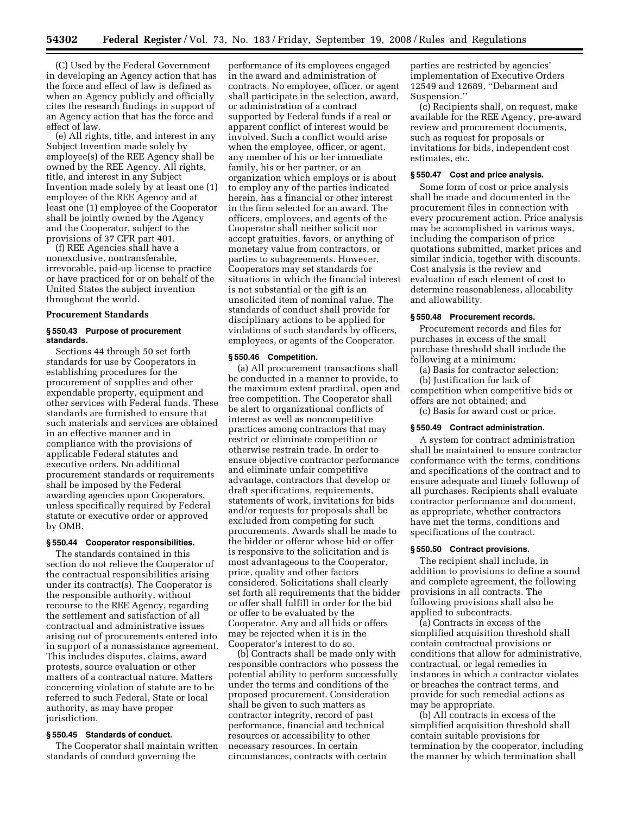(C) Used by the Federal Government in developing an Agency action that has the force and effect of law is defined as when an Agency publicly and officially cites the research findings in support of an Agency action that has the force and effect of law.

(e) All rights, title, and interest in any Subject Invention made solely by employee(s) of the REE Agency shall be owned by the REE Agency. All rights, title, and interest in any Subject Invention made solely by at least one (1) employee of the REE Agency and at least one (1) employee of the Cooperator shall be jointly owned by the Agency and the Cooperator, subject to the provisions of 37 CFR part 401.

(f) REE Agencies shall have a nonexclusive, nontransferable, irrevocable, paid-up license to practice or have practiced for or on behalf of the United States the subject invention throughout the world.

#### **Procurement Standards**

# **§ 550.43 Purpose of procurement standards.**

Sections 44 through 50 set forth standards for use by Cooperators in establishing procedures for the procurement of supplies and other expendable property, equipment and other services with Federal funds. These standards are furnished to ensure that such materials and services are obtained in an effective manner and in compliance with the provisions of applicable Federal statutes and executive orders. No additional procurement standards or requirements shall be imposed by the Federal awarding agencies upon Cooperators, unless specifically required by Federal statute or executive order or approved by OMB.

#### **§ 550.44 Cooperator responsibilities.**

The standards contained in this section do not relieve the Cooperator of the contractual responsibilities arising under its contract(s). The Cooperator is the responsible authority, without recourse to the REE Agency, regarding the settlement and satisfaction of all contractual and administrative issues arising out of procurements entered into in support of a nonassistance agreement. This includes disputes, claims, award protests, source evaluation or other matters of a contractual nature. Matters concerning violation of statute are to be referred to such Federal, State or local authority, as may have proper jurisdiction.

## **§ 550.45 Standards of conduct.**

The Cooperator shall maintain written standards of conduct governing the

performance of its employees engaged in the award and administration of contracts. No employee, officer, or agent shall participate in the selection, award, or administration of a contract supported by Federal funds if a real or apparent conflict of interest would be involved. Such a conflict would arise when the employee, officer, or agent, any member of his or her immediate family, his or her partner, or an organization which employs or is about to employ any of the parties indicated herein, has a financial or other interest in the firm selected for an award. The officers, employees, and agents of the Cooperator shall neither solicit nor accept gratuities, favors, or anything of monetary value from contractors, or parties to subagreements. However, Cooperators may set standards for situations in which the financial interest is not substantial or the gift is an unsolicited item of nominal value. The standards of conduct shall provide for disciplinary actions to be applied for violations of such standards by officers, employees, or agents of the Cooperator.

#### **§ 550.46 Competition.**

(a) All procurement transactions shall be conducted in a manner to provide, to the maximum extent practical, open and free competition. The Cooperator shall be alert to organizational conflicts of interest as well as noncompetitive practices among contractors that may restrict or eliminate competition or otherwise restrain trade. In order to ensure objective contractor performance and eliminate unfair competitive advantage, contractors that develop or draft specifications, requirements, statements of work, invitations for bids and/or requests for proposals shall be excluded from competing for such procurements. Awards shall be made to the bidder or offeror whose bid or offer is responsive to the solicitation and is most advantageous to the Cooperator, price, quality and other factors considered. Solicitations shall clearly set forth all requirements that the bidder or offer shall fulfill in order for the bid or offer to be evaluated by the Cooperator. Any and all bids or offers may be rejected when it is in the Cooperator's interest to do so.

(b) Contracts shall be made only with responsible contractors who possess the potential ability to perform successfully under the terms and conditions of the proposed procurement. Consideration shall be given to such matters as contractor integrity, record of past performance, financial and technical resources or accessibility to other necessary resources. In certain circumstances, contracts with certain

parties are restricted by agencies' implementation of Executive Orders 12549 and 12689, ''Debarment and Suspension.''

(c) Recipients shall, on request, make available for the REE Agency, pre-award review and procurement documents, such as request for proposals or invitations for bids, independent cost estimates, etc.

#### **§ 550.47 Cost and price analysis.**

Some form of cost or price analysis shall be made and documented in the procurement files in connection with every procurement action. Price analysis may be accomplished in various ways, including the comparison of price quotations submitted, market prices and similar indicia, together with discounts. Cost analysis is the review and evaluation of each element of cost to determine reasonableness, allocability and allowability.

## **§ 550.48 Procurement records.**

Procurement records and files for purchases in excess of the small purchase threshold shall include the following at a minimum:

(a) Basis for contractor selection;

(b) Justification for lack of competition when competitive bids or offers are not obtained; and

(c) Basis for award cost or price.

## **§ 550.49 Contract administration.**

A system for contract administration shall be maintained to ensure contractor conformance with the terms, conditions and specifications of the contract and to ensure adequate and timely followup of all purchases. Recipients shall evaluate contractor performance and document, as appropriate, whether contractors have met the terms, conditions and specifications of the contract.

#### **§ 550.50 Contract provisions.**

The recipient shall include, in addition to provisions to define a sound and complete agreement, the following provisions in all contracts. The following provisions shall also be applied to subcontracts.

(a) Contracts in excess of the simplified acquisition threshold shall contain contractual provisions or conditions that allow for administrative, contractual, or legal remedies in instances in which a contractor violates or breaches the contract terms, and provide for such remedial actions as may be appropriate.

(b) All contracts in excess of the simplified acquisition threshold shall contain suitable provisions for termination by the cooperator, including the manner by which termination shall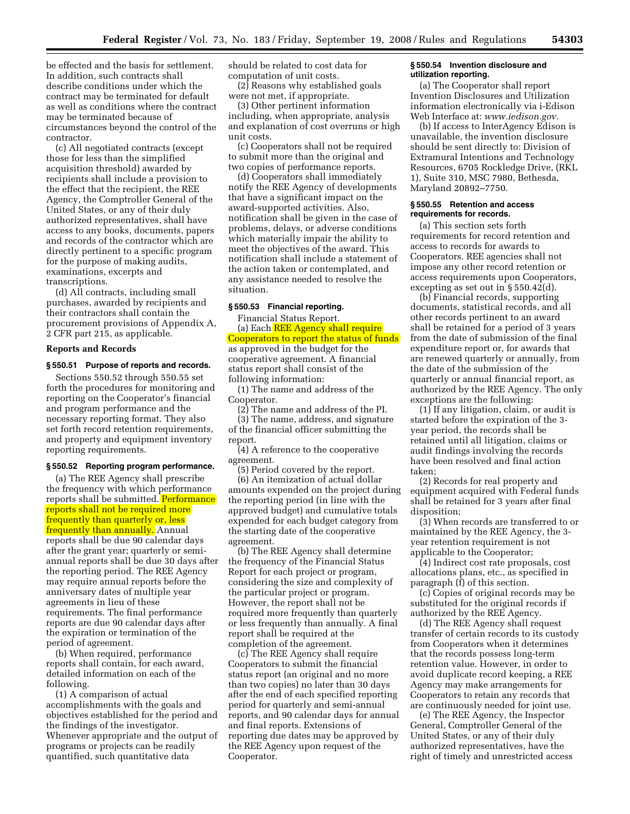be effected and the basis for settlement. In addition, such contracts shall describe conditions under which the contract may be terminated for default as well as conditions where the contract may be terminated because of circumstances beyond the control of the contractor.

(c) All negotiated contracts (except those for less than the simplified acquisition threshold) awarded by recipients shall include a provision to the effect that the recipient, the REE Agency, the Comptroller General of the United States, or any of their duly authorized representatives, shall have access to any books, documents, papers and records of the contractor which are directly pertinent to a specific program for the purpose of making audits, examinations, excerpts and transcriptions.

(d) All contracts, including small purchases, awarded by recipients and their contractors shall contain the procurement provisions of Appendix A, 2 CFR part 215, as applicable.

#### **Reports and Records**

# **§ 550.51 Purpose of reports and records.**

Sections 550.52 through 550.55 set forth the procedures for monitoring and reporting on the Cooperator's financial and program performance and the necessary reporting format. They also set forth record retention requirements, and property and equipment inventory reporting requirements.

#### **§ 550.52 Reporting program performance.**

(a) The REE Agency shall prescribe the frequency with which performance reports shall be submitted. Performance reports shall not be required more frequently than quarterly or, less frequently than annually. Annual reports shall be due 90 calendar days after the grant year; quarterly or semiannual reports shall be due 30 days after the reporting period. The REE Agency may require annual reports before the anniversary dates of multiple year agreements in lieu of these requirements. The final performance reports are due 90 calendar days after the expiration or termination of the period of agreement.

(b) When required, performance reports shall contain, for each award, detailed information on each of the following.

(1) A comparison of actual accomplishments with the goals and objectives established for the period and the findings of the investigator. Whenever appropriate and the output of programs or projects can be readily quantified, such quantitative data

should be related to cost data for computation of unit costs.

(2) Reasons why established goals were not met, if appropriate.

(3) Other pertinent information including, when appropriate, analysis and explanation of cost overruns or high unit costs.

(c) Cooperators shall not be required to submit more than the original and two copies of performance reports.

(d) Cooperators shall immediately notify the REE Agency of developments that have a significant impact on the award-supported activities. Also, notification shall be given in the case of problems, delays, or adverse conditions which materially impair the ability to meet the objectives of the award. This notification shall include a statement of the action taken or contemplated, and any assistance needed to resolve the situation.

# **§ 550.53 Financial reporting.**

Financial Status Report.

(a) Each REE Agency shall require Cooperators to report the status of funds as approved in the budget for the cooperative agreement. A financial status report shall consist of the following information:

(1) The name and address of the Cooperator.

(2) The name and address of the PI. (3) The name, address, and signature of the financial officer submitting the report.

(4) A reference to the cooperative agreement.

(5) Period covered by the report. (6) An itemization of actual dollar amounts expended on the project during the reporting period (in line with the approved budget) and cumulative totals expended for each budget category from the starting date of the cooperative agreement.

(b) The REE Agency shall determine the frequency of the Financial Status Report for each project or program, considering the size and complexity of the particular project or program. However, the report shall not be required more frequently than quarterly or less frequently than annually. A final report shall be required at the completion of the agreement.

(c) The REE Agency shall require Cooperators to submit the financial status report (an original and no more than two copies) no later than 30 days after the end of each specified reporting period for quarterly and semi-annual reports, and 90 calendar days for annual and final reports. Extensions of reporting due dates may be approved by the REE Agency upon request of the Cooperator.

#### **§ 550.54 Invention disclosure and utilization reporting.**

(a) The Cooperator shall report Invention Disclosures and Utilization information electronically via i-Edison Web Interface at: *[www.iedison.gov.](http://www.iedison.gov)* 

(b) If access to InterAgency Edison is unavailable, the invention disclosure should be sent directly to: Division of Extramural Intentions and Technology Resources, 6705 Rockledge Drive, (RKL 1), Suite 310, MSC 7980, Bethesda, Maryland 20892–7750.

#### **§ 550.55 Retention and access requirements for records.**

(a) This section sets forth requirements for record retention and access to records for awards to Cooperators. REE agencies shall not impose any other record retention or access requirements upon Cooperators, excepting as set out in § 550.42(d).

(b) Financial records, supporting documents, statistical records, and all other records pertinent to an award shall be retained for a period of 3 years from the date of submission of the final expenditure report or, for awards that are renewed quarterly or annually, from the date of the submission of the quarterly or annual financial report, as authorized by the REE Agency. The only exceptions are the following:

(1) If any litigation, claim, or audit is started before the expiration of the 3 year period, the records shall be retained until all litigation, claims or audit findings involving the records have been resolved and final action taken;

(2) Records for real property and equipment acquired with Federal funds shall be retained for 3 years after final disposition;

(3) When records are transferred to or maintained by the REE Agency, the 3 year retention requirement is not applicable to the Cooperator;

(4) Indirect cost rate proposals, cost allocations plans, etc., as specified in paragraph (f) of this section.

(c) Copies of original records may be substituted for the original records if authorized by the REE Agency.

(d) The REE Agency shall request transfer of certain records to its custody from Cooperators when it determines that the records possess long-term retention value. However, in order to avoid duplicate record keeping, a REE Agency may make arrangements for Cooperators to retain any records that are continuously needed for joint use.

(e) The REE Agency, the Inspector General, Comptroller General of the United States, or any of their duly authorized representatives, have the right of timely and unrestricted access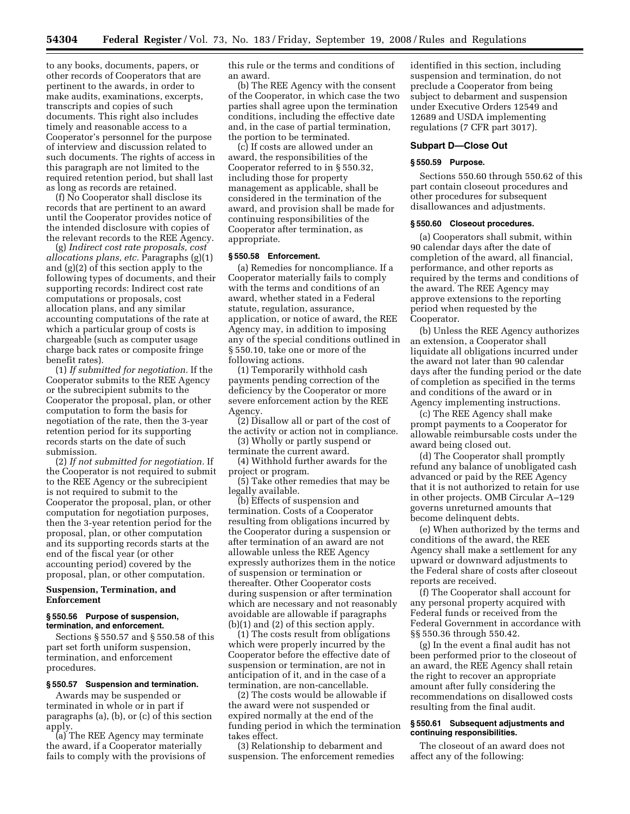to any books, documents, papers, or other records of Cooperators that are pertinent to the awards, in order to make audits, examinations, excerpts, transcripts and copies of such documents. This right also includes timely and reasonable access to a Cooperator's personnel for the purpose of interview and discussion related to such documents. The rights of access in this paragraph are not limited to the required retention period, but shall last as long as records are retained.

(f) No Cooperator shall disclose its records that are pertinent to an award until the Cooperator provides notice of the intended disclosure with copies of the relevant records to the REE Agency.

(g) *Indirect cost rate proposals, cost allocations plans, etc.* Paragraphs (g)(1) and (g)(2) of this section apply to the following types of documents, and their supporting records: Indirect cost rate computations or proposals, cost allocation plans, and any similar accounting computations of the rate at which a particular group of costs is chargeable (such as computer usage charge back rates or composite fringe benefit rates).

(1) *If submitted for negotiation.* If the Cooperator submits to the REE Agency or the subrecipient submits to the Cooperator the proposal, plan, or other computation to form the basis for negotiation of the rate, then the 3-year retention period for its supporting records starts on the date of such submission.

(2) *If not submitted for negotiation.* If the Cooperator is not required to submit to the REE Agency or the subrecipient is not required to submit to the Cooperator the proposal, plan, or other computation for negotiation purposes, then the 3-year retention period for the proposal, plan, or other computation and its supporting records starts at the end of the fiscal year (or other accounting period) covered by the proposal, plan, or other computation.

# **Suspension, Termination, and Enforcement**

## **§ 550.56 Purpose of suspension, termination, and enforcement.**

Sections § 550.57 and § 550.58 of this part set forth uniform suspension, termination, and enforcement procedures.

# **§ 550.57 Suspension and termination.**

Awards may be suspended or terminated in whole or in part if paragraphs (a), (b), or (c) of this section apply.

(a) The REE Agency may terminate the award, if a Cooperator materially fails to comply with the provisions of this rule or the terms and conditions of an award.

(b) The REE Agency with the consent of the Cooperator, in which case the two parties shall agree upon the termination conditions, including the effective date and, in the case of partial termination, the portion to be terminated.

(c) If costs are allowed under an award, the responsibilities of the Cooperator referred to in § 550.32, including those for property management as applicable, shall be considered in the termination of the award, and provision shall be made for continuing responsibilities of the Cooperator after termination, as appropriate.

## **§ 550.58 Enforcement.**

(a) Remedies for noncompliance. If a Cooperator materially fails to comply with the terms and conditions of an award, whether stated in a Federal statute, regulation, assurance, application, or notice of award, the REE Agency may, in addition to imposing any of the special conditions outlined in § 550.10, take one or more of the following actions.

(1) Temporarily withhold cash payments pending correction of the deficiency by the Cooperator or more severe enforcement action by the REE Agency.

(2) Disallow all or part of the cost of the activity or action not in compliance.

(3) Wholly or partly suspend or terminate the current award.

(4) Withhold further awards for the project or program.

(5) Take other remedies that may be legally available.

(b) Effects of suspension and termination. Costs of a Cooperator resulting from obligations incurred by the Cooperator during a suspension or after termination of an award are not allowable unless the REE Agency expressly authorizes them in the notice of suspension or termination or thereafter. Other Cooperator costs during suspension or after termination which are necessary and not reasonably avoidable are allowable if paragraphs (b)(1) and (2) of this section apply.

(1) The costs result from obligations which were properly incurred by the Cooperator before the effective date of suspension or termination, are not in anticipation of it, and in the case of a termination, are non-cancellable.

(2) The costs would be allowable if the award were not suspended or expired normally at the end of the funding period in which the termination takes effect.

(3) Relationship to debarment and suspension. The enforcement remedies

identified in this section, including suspension and termination, do not preclude a Cooperator from being subject to debarment and suspension under Executive Orders 12549 and 12689 and USDA implementing regulations (7 CFR part 3017).

#### **Subpart D—Close Out**

## **§ 550.59 Purpose.**

Sections 550.60 through 550.62 of this part contain closeout procedures and other procedures for subsequent disallowances and adjustments.

# **§ 550.60 Closeout procedures.**

(a) Cooperators shall submit, within 90 calendar days after the date of completion of the award, all financial, performance, and other reports as required by the terms and conditions of the award. The REE Agency may approve extensions to the reporting period when requested by the Cooperator.

(b) Unless the REE Agency authorizes an extension, a Cooperator shall liquidate all obligations incurred under the award not later than 90 calendar days after the funding period or the date of completion as specified in the terms and conditions of the award or in Agency implementing instructions.

(c) The REE Agency shall make prompt payments to a Cooperator for allowable reimbursable costs under the award being closed out.

(d) The Cooperator shall promptly refund any balance of unobligated cash advanced or paid by the REE Agency that it is not authorized to retain for use in other projects. OMB Circular A–129 governs unreturned amounts that become delinquent debts.

(e) When authorized by the terms and conditions of the award, the REE Agency shall make a settlement for any upward or downward adjustments to the Federal share of costs after closeout reports are received.

(f) The Cooperator shall account for any personal property acquired with Federal funds or received from the Federal Government in accordance with §§ 550.36 through 550.42.

(g) In the event a final audit has not been performed prior to the closeout of an award, the REE Agency shall retain the right to recover an appropriate amount after fully considering the recommendations on disallowed costs resulting from the final audit.

## **§ 550.61 Subsequent adjustments and continuing responsibilities.**

The closeout of an award does not affect any of the following: